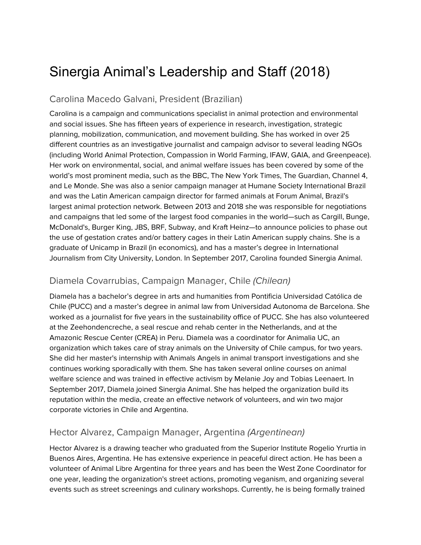# Sinergia Animal's Leadership and Staff (2018)

### Carolina Macedo Galvani, President (Brazilian)

Carolina is a campaign and communications specialist in animal protection and environmental and social issues. She has fifteen years of experience in research, investigation, strategic planning, mobilization, communication, and movement building. She has worked in over 25 different countries as an investigative journalist and campaign advisor to several leading NGOs (including World Animal Protection, Compassion in World Farming, IFAW, GAIA, and Greenpeace). Her work on environmental, social, and animal welfare issues has been covered by some of the world's most prominent media, such as the BBC, The New York Times, The Guardian, Channel 4, and Le Monde. She was also a senior campaign manager at Humane Society International Brazil and was the Latin American campaign director for farmed animals at Forum Animal, Brazil's largest animal protection network. Between 2013 and 2018 she was responsible for negotiations and campaigns that led some of the largest food companies in the world—such as Cargill, Bunge, McDonald's, Burger King, JBS, BRF, Subway, and Kraft Heinz—to announce policies to phase out the use of gestation crates and/or battery cages in their Latin American supply chains. She is a graduate of Unicamp in Brazil (in economics), and has a master's degree in International Journalism from City University, London. In September 2017, Carolina founded Sinergia Animal.

# Diamela Covarrubias, Campaign Manager, Chile (Chilean)

Diamela has a bachelor's degree in arts and humanities from Pontificia Universidad Católica de Chile (PUCC) and a master's degree in animal law from Universidad Autonoma de Barcelona. She worked as a journalist for five years in the sustainability office of PUCC. She has also volunteered at the Zeehondencreche, a seal rescue and rehab center in the Netherlands, and at the Amazonic Rescue Center (CREA) in Peru. Diamela was a coordinator for Animalia UC, an organization which takes care of stray animals on the University of Chile campus, for two years. She did her master's internship with Animals Angels in animal transport investigations and she continues working sporadically with them. She has taken several online courses on animal welfare science and was trained in effective activism by Melanie Joy and Tobias Leenaert. In September 2017, Diamela joined Sinergia Animal. She has helped the organization build its reputation within the media, create an effective network of volunteers, and win two major corporate victories in Chile and Argentina.

#### Hector Alvarez, Campaign Manager, Argentina (Argentinean)

Hector Alvarez is a drawing teacher who graduated from the Superior Institute Rogelio Yrurtia in Buenos Aires, Argentina. He has extensive experience in peaceful direct action. He has been a volunteer of Animal Libre Argentina for three years and has been the West Zone Coordinator for one year, leading the organization's street actions, promoting veganism, and organizing several events such as street screenings and culinary workshops. Currently, he is being formally trained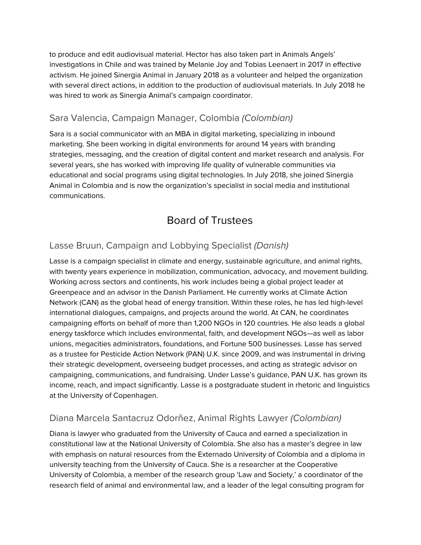to produce and edit audiovisual material. Hector has also taken part in Animals Angels' investigations in Chile and was trained by Melanie Joy and Tobias Leenaert in 2017 in effective activism. He joined Sinergia Animal in January 2018 as a volunteer and helped the organization with several direct actions, in addition to the production of audiovisual materials. In July 2018 he was hired to work as Sinergia Animal's campaign coordinator.

# Sara Valencia, Campaign Manager, Colombia (Colombian)

Sara is a social communicator with an MBA in digital marketing, specializing in inbound marketing. She been working in digital environments for around 14 years with branding strategies, messaging, and the creation of digital content and market research and analysis. For several years, she has worked with improving life quality of vulnerable communities via educational and social programs using digital technologies. In July 2018, she joined Sinergia Animal in Colombia and is now the organization's specialist in social media and institutional communications.

# Board of Trustees

# Lasse Bruun, Campaign and Lobbying Specialist (Danish)

Lasse is a campaign specialist in climate and energy, sustainable agriculture, and animal rights, with twenty years experience in mobilization, communication, advocacy, and movement building. Working across sectors and continents, his work includes being a global project leader at Greenpeace and an advisor in the Danish Parliament. He currently works at Climate Action Network (CAN) as the global head of energy transition. Within these roles, he has led high-level international dialogues, campaigns, and projects around the world. At CAN, he coordinates campaigning efforts on behalf of more than 1,200 NGOs in 120 countries. He also leads a global energy taskforce which includes environmental, faith, and development NGOs—as well as labor unions, megacities administrators, foundations, and Fortune 500 businesses. Lasse has served as a trustee for Pesticide Action Network (PAN) U.K. since 2009, and was instrumental in driving their strategic development, overseeing budget processes, and acting as strategic advisor on campaigning, communications, and fundraising. Under Lasse's guidance, PAN U.K. has grown its income, reach, and impact significantly. Lasse is a postgraduate student in rhetoric and linguistics at the University of Copenhagen.

#### Diana Marcela Santacruz Odorñez, Animal Rights Lawyer (Colombian)

Diana is lawyer who graduated from the University of Cauca and earned a specialization in constitutional law at the National University of Colombia. She also has a master's degree in law with emphasis on natural resources from the Externado University of Colombia and a diploma in university teaching from the University of Cauca. She is a researcher at the Cooperative University of Colombia, a member of the research group 'Law and Society,' a coordinator of the research field of animal and environmental law, and a leader of the legal consulting program for